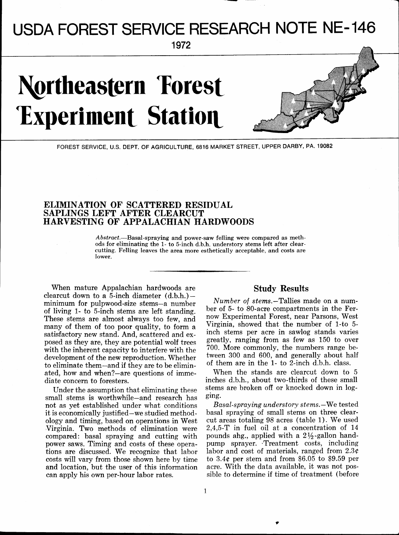# - **I** -- - **<sup>1</sup>** USDA FOREST SERVICE RESEARCH NOTE NE- 146

**1 972** 

## **Northeastern Forest Experiment Station**



FOREST SERVICE, U.S. DEPT. OF AGRICULTURE, 6816 MARKET STREET, UPPER DARBY, PA. 19082

### **ELIMINATION OF SCATTERED RESIDUAL SAPLINGS LEFT AFTER CLEARCUT HARVESTING OF APPALACHIAN HARDWOODS**

Abstract.-Basal-spraying and power-saw felling were compared as meth**ods for eliminating the 1- to 5-inch d.b.h. understory stems left after clearcutting. Felling leaves the area more esthetically acceptable, and costs are lower.** 

When mature Appalachian hardwoods are clearcut down to a 5-inch diameter  $(d.b.h.)$ minimum for pulpwood-size stems-a number of living 1- to 5-inch stems are left standing. These stems are almost always too few, and many of them of too poor quality, to form a satisfactory new stand. And, scattered and exposed as they are, they are potential wolf trees with the inherent capacity to interfere with the development of the new reproduction. Whether to eliminate them-and if they are to be eliminated, how and when?-are questions of immediate concern to foresters.

Under the assumption that eliminating these small stems is worthwhile-and research has not as yet established under what conditions it is economically justified-we studied methodology and timing, based on operations in West Virginia. Two methods of elimination were compared: basal spraying and cutting with power saws. Timing and costs of these operations are discussed. We recognize that labor costs will vary from those shown here by time and location, but the user of this information can apply his own per-hour labor rates.

#### **Study Results**

Number of stems.-Tallies made on a number of 5- to 80-acre compartments in the Fernow Experimental Forest, near Parsons, West Virginia, showed that the number of 1-to 5 inch stems per acre in sawlog stands varies greatly, ranging from as few as 150 to over 700. More commonly, the numbers range between 300 and 600, and generally about half of them are in the 1- to 2-inch d.b.h. class.

When the stands are clearcut down to 5 inches d.b.h., about two-thirds of these small stems are broken off or knocked down in logging.

Basal-spraying understory stems.-We tested basal spraying of small stems on three clearcut areas totaling 98 acres (table 1). We used 2,4,5-T in fuel oil at a concentration of 14 pounds ahg., applied with a  $2\frac{1}{2}$ -gallon handpump sprayer. +Treatment costs, including labor and cost of materials, ranged from  $2.3<sub>c</sub>$ to 3.4¢ per stem and from \$6.05 to \$9.59 per acre. With the data available, it was not possible to determine if time of treatment (before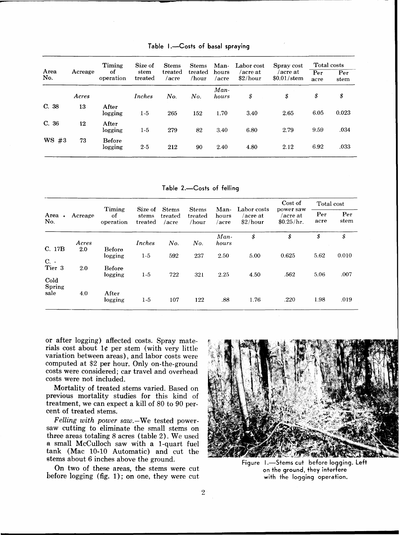| Area<br>No. | Acreage | Timing<br>οf<br>operation | Size of<br>stem<br>treated | <b>Stems</b><br>treated<br>/acre | <b>Stems</b><br>treated<br>/hour | Man-<br>hours<br>/acre | Labor cost<br>acre at<br>\$2/hour | Spray cost<br>/acre at<br>$$0.01/\text{stem}$ | Total costs |             |
|-------------|---------|---------------------------|----------------------------|----------------------------------|----------------------------------|------------------------|-----------------------------------|-----------------------------------------------|-------------|-------------|
|             |         |                           |                            |                                  |                                  |                        |                                   |                                               | Per<br>acre | Per<br>stem |
|             | Acres   |                           | Inches                     | No.                              | No.                              | $Man-$<br>hours        | \$                                | \$                                            | \$          | \$          |
| C. 38       | 13      | After<br>logging          | $1-5$                      | 265                              | 152                              | 1.70                   | 3.40                              | 2.65                                          | 6.05        | 0.023       |
| C. 36       | 12      | After<br>logging          | $1-5$                      | 279                              | 82                               | 3.40                   | 6.80                              | 2.79                                          | 9.59        | .034        |
| WS#3        | 73      | <b>Before</b><br>logging  | $2 - 5$                    | 212                              | 90                               | 2.40                   | 4.80                              | 2.12                                          | 6.92        | .033        |

Table 1.<sup>-C</sup>osts of basal spraying

Table 2.<sup>-Costs</sup> of felling

| Area.<br>No.           | Acreage | Timing<br>of<br>operation | Size of<br>stems<br>treated | <b>Stems</b><br>treated<br>/acre | <b>Stems</b><br>treated<br>/hour | Man-<br>hours<br>/acre | Labor costs<br>/acre at<br>\$2/hour | Cost of<br>power saw<br>/acre at<br>\$0.25/hr. | Total cost  |             |
|------------------------|---------|---------------------------|-----------------------------|----------------------------------|----------------------------------|------------------------|-------------------------------------|------------------------------------------------|-------------|-------------|
|                        |         |                           |                             |                                  |                                  |                        |                                     |                                                | Per<br>acre | Per<br>stem |
|                        | Acres   |                           | Inches                      | No.                              | No.                              | Man-<br>hours          | \$                                  | \$                                             | \$          | \$          |
| C. 17B<br>$C. -$       | 2.0     | <b>Before</b><br>logging  | $1-5$                       | 592                              | 237                              | 2.50                   | 5.00                                | 0.625                                          | 5.62        | 0.010       |
| Tier 3                 | 2.0     | <b>Before</b><br>logging  | $1-5$                       | 722                              | 321                              | 2.25                   | 4.50                                | .562                                           | 5.06        | .007        |
| Cold<br>Spring<br>sale | 4.0     | After<br>logging          | $1-5$                       | 107                              | 122                              | .88                    | 1.76                                | .220                                           | 1.98        | .019        |
|                        |         |                           |                             |                                  |                                  |                        |                                     |                                                |             |             |

or after logging) affected costs. Spray materials cost about  $1¢$  per stem (with very little variation between areas), and labor costs were computed at \$2 per hour. Only on-the-ground costs were considered; car travel and overhead costs were not included.

Mortality of treated stems varied. Based on previous mortality studies for this kind of treatment, we can expect a kill of 80 to 90 percent of treated stems.

Felling with power saw.-We tested powersaw cutting to eliminate the small stems on three areas totaling 8 acres (table 2). We used a small McCulloch saw with a 1-quart fuel tank (Mac 10-10 Automatic) and cut the stems about 6 inches above the ground.

On two of these areas, the stems were cut before logging (fig. I) ; on one, they were cut



Figure I.-Stems cut before logging. Left **on the ground, they interfere**  with the logging operation.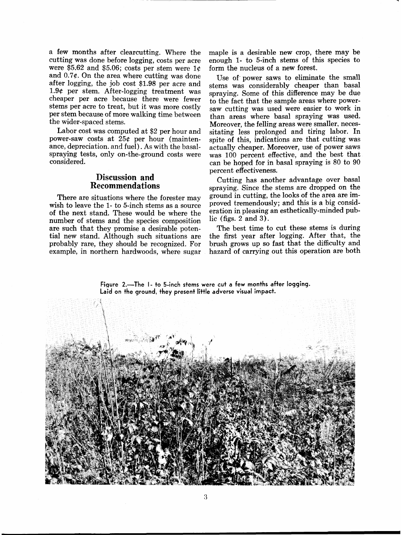a few months after clearcutting. Where the cutting was done before logging, costs per acre were \$5.62 and \$5.06; costs per stem were  $1c$ and 0.7e. On the area where cutting was done after logging, the job cost \$1.98 per acre and 1.9e per stem. After-logging treatment was cheaper per acre because there were fewer stems per acre to treat, but it was more costly per stem because of more walking time between the wider-spaced stems.

Labor cost was computed at \$2 per hour and power-saw costs at  $25¢$  per hour (maintenance, depreciation. and fuel). As with the basalspraying tests, only on-the-ground costs were considered.

#### **Discussion and Recommendations**

There are situations where the forester may wish to leave the 1- to 5-inch stems as a source of the next stand. These would be where the number of stems and the species composition are such that they promise a desirable potential new stand. Although such situations are probably rare, they should be recognized. For example, in northern hardwoods, where sugar maple is a desirable new crop, there may be enough 1- to 5-inch stems of this species to form the nucleus of a new forest.

Use of- power saws to eliminate the small stems was considerably cheaper than basal spraying. Some of this difference may be due to the fact that the sample areas where powersaw cutting was used were easier to work in than areas where basal spraying was used. Moreover, the felling areas were smaller, necessitating less prolonged and tiring labor. In spite of this, indications are that cutting was actually cheaper. Moreover, use of power saws was 100 percent effective, and the best that can be hoped for in basal spraying is 80 to 90 percent effectiveness.

Cutting has another advantage over basal spraying. Since the stems are dropped on the ground in cutting, the looks of the area are improved tremendously; and this is a big consideration in pleasing an esthetically-minded public (figs. 2 and **3).** 

The best time to cut these stems is during the first year after logging. After that, the brush grows up so fast that the difficulty and hazard of carrying out this operation are both

Figure 2.—The 1- to 5-inch stems were cut a few months after logging. **Laid on the ground, they present little adverse visual impact.**